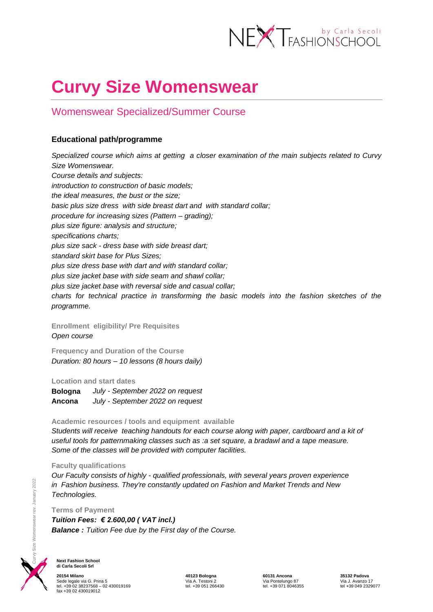

# **Curvy Size Womenswear**

## Womenswear Specialized/Summer Course

### **Educational path/programme**

*Specialized course which aims at getting a closer examination of the main subjects related to Curvy Size Womenswear. Course details and subjects: introduction to construction of basic models; the ideal measures, the bust or the size; basic plus size dress with side breast dart and with standard collar; procedure for increasing sizes (Pattern – grading); plus size figure: analysis and structure; specifications charts; plus size sack - dress base with side breast dart; standard skirt base for Plus Sizes; plus size dress base with dart and with standard collar; plus size jacket base with side seam and shawl collar; plus size jacket base with reversal side and casual collar; charts for technical practice in transforming the basic models into the fashion sketches of the programme.*

**Enrollment eligibility/ Pre Requisites**  *Open course*

**Frequency and Duration of the Course** *Duration: 80 hours – 10 lessons (8 hours daily)*

**Location and start dates**

**Bologna** *July - September 2022 on request* **Ancona** *July - September 2022 on request*

#### **Academic resources / tools and equipment available**

*Students will receive teaching handouts for each course along with paper, cardboard and a kit of useful tools for patternmaking classes such as :a set square, a bradawl and a tape measure.* *Some of the classes will be provided with computer facilities.* 

#### **Faculty qualifications**

*Our Faculty consists of highly - qualified professionals, with several years proven experience in Fashion business. They're constantly updated on Fashion and Market Trends and New Technologies.* 

**Terms of Payment**

*Tuition Fees: € 2.600,00 ( VAT incl.) Balance : Tuition Fee due by the First day of the Course.* 



**Next Fashion School di Carla Secoli Srl**

**20154 Milano 40123 Bologna 60131 Ancona 35132 Padova** Sede legale via G. Prina 5 Via A. Testoni 2 Via Pontelungo 87 Via J. Avanzo 17 tel. +39 02 38237568 – 02 430019169 tel. +39 051 266430 tel. +39 071 8046355 tel +39 049 2329077 fax +39 02 430019012